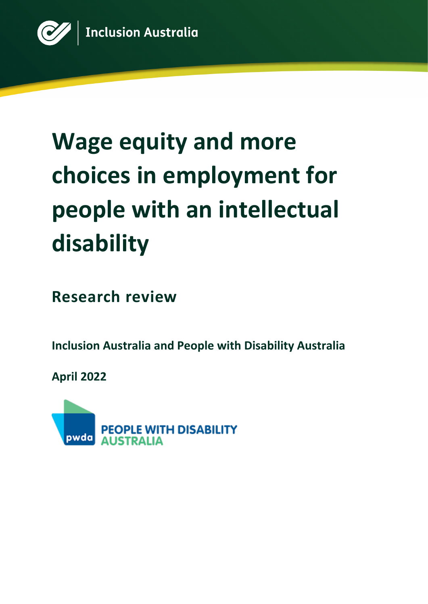

# **Wage equity and more choices in employment for people with an intellectual disability**

**Research review**

**Inclusion Australia and People with Disability Australia**

**April 2022**

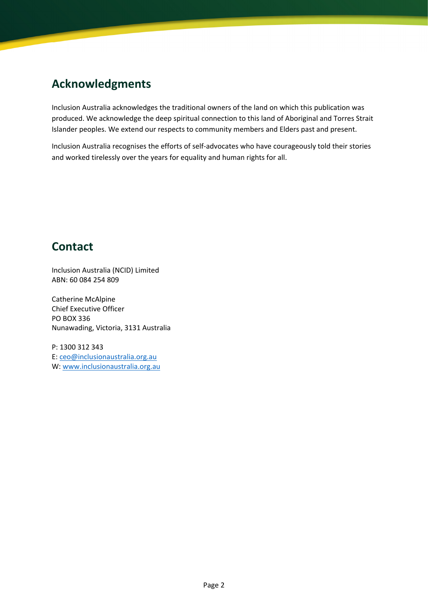## **Acknowledgments**

Inclusion Australia acknowledges the traditional owners of the land on which this publication was produced. We acknowledge the deep spiritual connection to this land of Aboriginal and Torres Strait Islander peoples. We extend our respects to community members and Elders past and present.

Inclusion Australia recognises the efforts of self-advocates who have courageously told their stories and worked tirelessly over the years for equality and human rights for all.

### **Contact**

Inclusion Australia (NCID) Limited ABN: 60 084 254 809

Catherine McAlpine Chief Executive Officer PO BOX 336 Nunawading, Victoria, 3131 Australia

P: 1300 312 343 E: [ceo@inclusionaustralia.org.au](mailto:ceo@inclusionaustralia.org.au) W: [www.inclusionaustralia.org.au](http://www.inclusionaustralia.org.au/)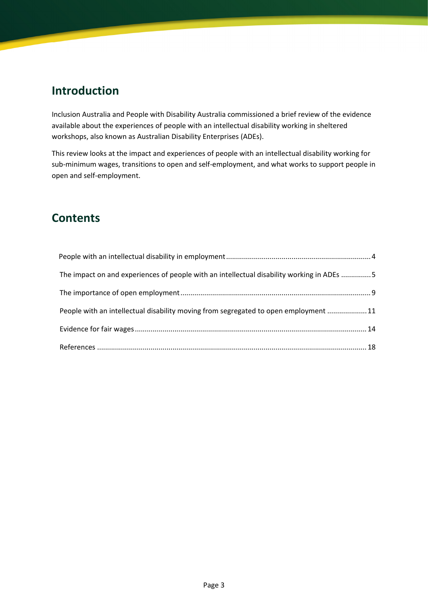## **Introduction**

Inclusion Australia and People with Disability Australia commissioned a brief review of the evidence available about the experiences of people with an intellectual disability working in sheltered workshops, also known as Australian Disability Enterprises (ADEs).

This review looks at the impact and experiences of people with an intellectual disability working for sub-minimum wages, transitions to open and self-employment, and what works to support people in open and self-employment.

## **Contents**

| The impact on and experiences of people with an intellectual disability working in ADEs 5 |  |
|-------------------------------------------------------------------------------------------|--|
|                                                                                           |  |
| People with an intellectual disability moving from segregated to open employment  11      |  |
|                                                                                           |  |
|                                                                                           |  |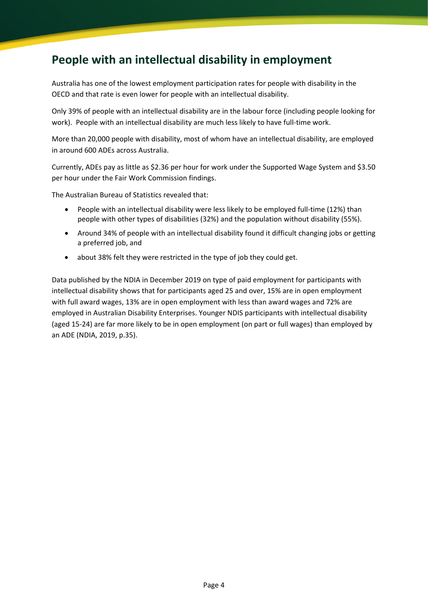## <span id="page-3-0"></span>**People with an intellectual disability in employment**

Australia has one of the lowest employment participation rates for people with disability in the OECD and that rate is even lower for people with an intellectual disability.

Only 39% of people with an intellectual disability are in the labour force (including people looking for work). People with an intellectual disability are much less likely to have full-time work.

More than 20,000 people with disability, most of whom have an intellectual disability, are employed in around 600 ADEs across Australia.

Currently, ADEs pay as little as \$2.36 per hour for work under the Supported Wage System and \$3.50 per hour under the Fair Work Commission findings.

The Australian Bureau of Statistics revealed that:

- People with an intellectual disability were less likely to be employed full-time (12%) than people with other types of disabilities (32%) and the population without disability (55%).
- Around 34% of people with an intellectual disability found it difficult changing jobs or getting a preferred job, and
- about 38% felt they were restricted in the type of job they could get.

Data published by the NDIA in December 2019 on type of paid employment for participants with intellectual disability shows that for participants aged 25 and over, 15% are in open employment with full award wages, 13% are in open employment with less than award wages and 72% are employed in Australian Disability Enterprises. Younger NDIS participants with intellectual disability (aged 15-24) are far more likely to be in open employment (on part or full wages) than employed by an ADE (NDIA, 2019, p.35).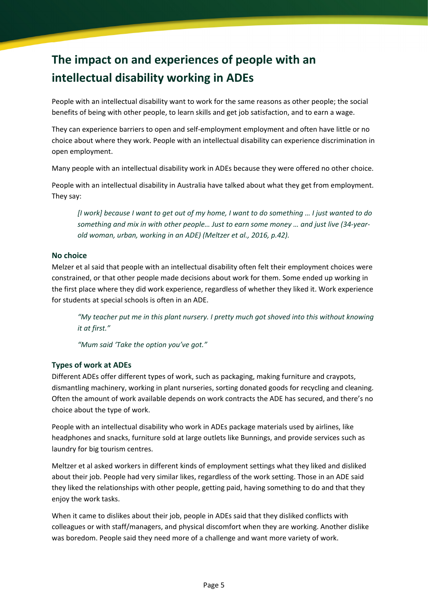# <span id="page-4-0"></span>**The impact on and experiences of people with an intellectual disability working in ADEs**

People with an intellectual disability want to work for the same reasons as other people; the social benefits of being with other people, to learn skills and get job satisfaction, and to earn a wage.

They can experience barriers to open and self-employment employment and often have little or no choice about where they work. People with an intellectual disability can experience discrimination in open employment.

Many people with an intellectual disability work in ADEs because they were offered no other choice.

People with an intellectual disability in Australia have talked about what they get from employment. They say:

*[I work] because I want to get out of my home, I want to do something … I just wanted to do something and mix in with other people… Just to earn some money … and just live (34-yearold woman, urban, working in an ADE) (Meltzer et al., 2016, p.42).*

#### **No choice**

Melzer et al said that people with an intellectual disability often felt their employment choices were constrained, or that other people made decisions about work for them. Some ended up working in the first place where they did work experience, regardless of whether they liked it. Work experience for students at special schools is often in an ADE.

*"My teacher put me in this plant nursery. I pretty much got shoved into this without knowing it at first."* 

*"Mum said 'Take the option you've got."*

#### **Types of work at ADEs**

Different ADEs offer different types of work, such as packaging, making furniture and craypots, dismantling machinery, working in plant nurseries, sorting donated goods for recycling and cleaning. Often the amount of work available depends on work contracts the ADE has secured, and there's no choice about the type of work.

People with an intellectual disability who work in ADEs package materials used by airlines, like headphones and snacks, furniture sold at large outlets like Bunnings, and provide services such as laundry for big tourism centres.

Meltzer et al asked workers in different kinds of employment settings what they liked and disliked about their job. People had very similar likes, regardless of the work setting. Those in an ADE said they liked the relationships with other people, getting paid, having something to do and that they enjoy the work tasks.

When it came to dislikes about their job, people in ADEs said that they disliked conflicts with colleagues or with staff/managers, and physical discomfort when they are working. Another dislike was boredom. People said they need more of a challenge and want more variety of work.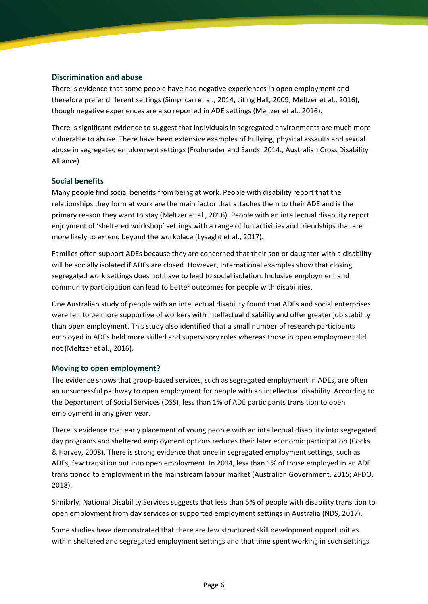#### **Discrimination and abuse**

There is evidence that some people have had negative experiences in open employment and therefore prefer different settings (Simplican et al., 2014, citing Hall, 2009; Meltzer et al., 2016), though negative experiences are also reported in ADE settings (Meltzer et al., 2016).

There is significant evidence to suggest that individuals in segregated environments are much more vulnerable to abuse. There have been extensive examples of bullying, physical assaults and sexual abuse in segregated employment settings (Frohmader and Sands, 2014., Australian Cross Disability Alliance).

#### **Social benefits**

Many people find social benefits from being at work. People with disability report that the relationships they form at work are the main factor that attaches them to their ADE and is the primary reason they want to stay (Meltzer et al., 2016). People with an intellectual disability report enjoyment of 'sheltered workshop' settings with a range of fun activities and friendships that are more likely to extend beyond the workplace (Lysaght et al., 2017).

Families often support ADEs because they are concerned that their son or daughter with a disability will be socially isolated if ADEs are closed. However, International examples show that closing segregated work settings does not have to lead to social isolation. Inclusive employment and community participation can lead to better outcomes for people with disabilities.

One Australian study of people with an intellectual disability found that ADEs and social enterprises were felt to be more supportive of workers with intellectual disability and offer greater job stability than open employment. This study also identified that a small number of research participants employed in ADEs held more skilled and supervisory roles whereas those in open employment did not (Meltzer et al., 2016).

#### **Moving to open employment?**

The evidence shows that group-based services, such as segregated employment in ADEs, are often an unsuccessful pathway to open employment for people with an intellectual disability. According to the Department of Social Services (DSS), less than 1% of ADE participants transition to open employment in any given year.

There is evidence that early placement of young people with an intellectual disability into segregated day programs and sheltered employment options reduces their later economic participation (Cocks & Harvey, 2008). There is strong evidence that once in segregated employment settings, such as ADEs, few transition out into open employment. In 2014, less than 1% of those employed in an ADE transitioned to employment in the mainstream labour market (Australian Government, 2015; AFDO, 2018).

Similarly, National Disability Services suggests that less than 5% of people with disability transition to open employment from day services or supported employment settings in Australia (NDS, 2017).

Some studies have demonstrated that there are few structured skill development opportunities within sheltered and segregated employment settings and that time spent working in such settings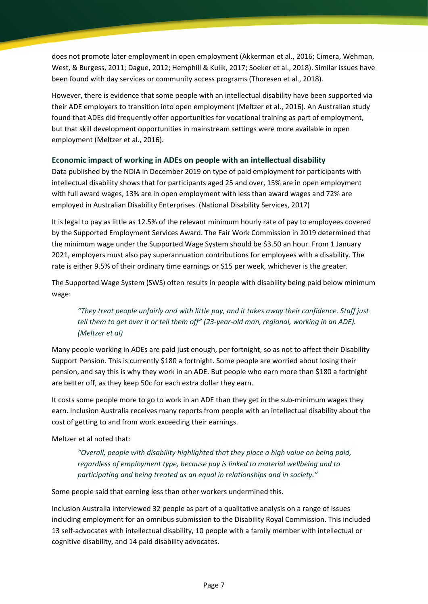does not promote later employment in open employment (Akkerman et al., 2016; Cimera, Wehman, West, & Burgess, 2011; Dague, 2012; Hemphill & Kulik, 2017; Soeker et al., 2018). Similar issues have been found with day services or community access programs (Thoresen et al., 2018).

However, there is evidence that some people with an intellectual disability have been supported via their ADE employers to transition into open employment (Meltzer et al., 2016). An Australian study found that ADEs did frequently offer opportunities for vocational training as part of employment, but that skill development opportunities in mainstream settings were more available in open employment (Meltzer et al., 2016).

#### **Economic impact of working in ADEs on people with an intellectual disability**

Data published by the NDIA in December 2019 on type of paid employment for participants with intellectual disability shows that for participants aged 25 and over, 15% are in open employment with full award wages, 13% are in open employment with less than award wages and 72% are employed in Australian Disability Enterprises. (National Disability Services, 2017)

It is legal to pay as little as 12.5% of the relevant minimum hourly rate of pay to employees covered by the Supported Employment Services Award. The Fair Work Commission in 2019 determined that the minimum wage under the Supported Wage System should be \$3.50 an hour. From 1 January 2021, employers must also pay superannuation contributions for employees with a disability. The rate is either 9.5% of their ordinary time earnings or \$15 per week, whichever is the greater.

The Supported Wage System (SWS) often results in people with disability being paid below minimum wage:

*"They treat people unfairly and with little pay, and it takes away their confidence. Staff just tell them to get over it or tell them off" (23-year-old man, regional, working in an ADE). (Meltzer et al)*

Many people working in ADEs are paid just enough, per fortnight, so as not to affect their Disability Support Pension. This is currently \$180 a fortnight. Some people are worried about losing their pension, and say this is why they work in an ADE. But people who earn more than \$180 a fortnight are better off, as they keep 50c for each extra dollar they earn.

It costs some people more to go to work in an ADE than they get in the sub-minimum wages they earn. Inclusion Australia receives many reports from people with an intellectual disability about the cost of getting to and from work exceeding their earnings.

Meltzer et al noted that:

*"Overall, people with disability highlighted that they place a high value on being paid, regardless of employment type, because pay is linked to material wellbeing and to participating and being treated as an equal in relationships and in society."* 

Some people said that earning less than other workers undermined this.

Inclusion Australia interviewed 32 people as part of a qualitative analysis on a range of issues including employment for an omnibus submission to the Disability Royal Commission. This included 13 self-advocates with intellectual disability, 10 people with a family member with intellectual or cognitive disability, and 14 paid disability advocates.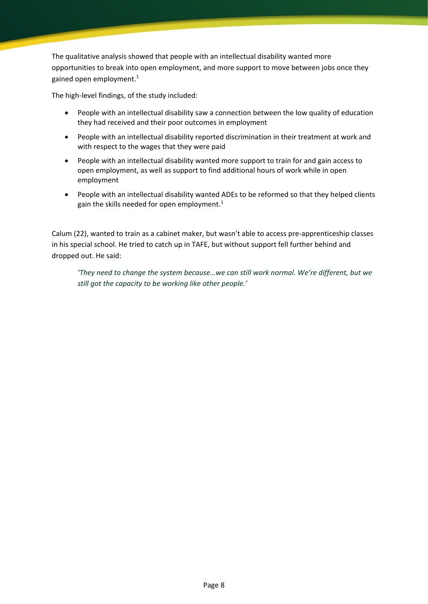The qualitative analysis showed that people with an intellectual disability wanted more opportunities to break into open employment, and more support to move between jobs once they gained open employment.<sup>1</sup>

The high-level findings, of the study included:

- People with an intellectual disability saw a connection between the low quality of education they had received and their poor outcomes in employment
- People with an intellectual disability reported discrimination in their treatment at work and with respect to the wages that they were paid
- People with an intellectual disability wanted more support to train for and gain access to open employment, as well as support to find additional hours of work while in open employment
- People with an intellectual disability wanted ADEs to be reformed so that they helped clients gain the skills needed for open employment. $1$

Calum (22), wanted to train as a cabinet maker, but wasn't able to access pre-apprenticeship classes in his special school. He tried to catch up in TAFE, but without support fell further behind and dropped out. He said:

*'They need to change the system because…we can still work normal. We're different, but we still got the capacity to be working like other people.'*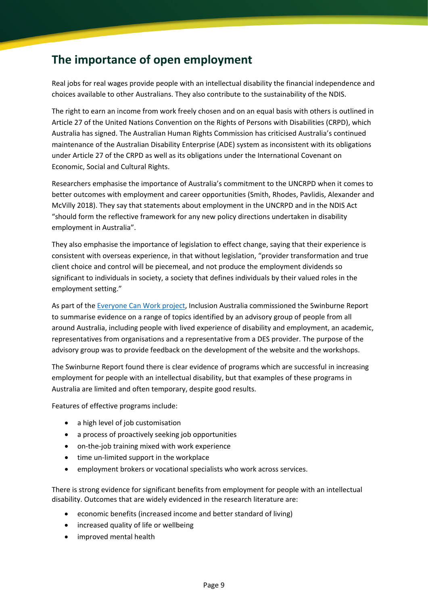## <span id="page-8-0"></span>**The importance of open employment**

Real jobs for real wages provide people with an intellectual disability the financial independence and choices available to other Australians. They also contribute to the sustainability of the NDIS.

The right to earn an income from work freely chosen and on an equal basis with others is outlined in Article 27 of the United Nations Convention on the Rights of Persons with Disabilities (CRPD), which Australia has signed. The Australian Human Rights Commission has criticised Australia's continued maintenance of the Australian Disability Enterprise (ADE) system as inconsistent with its obligations under Article 27 of the CRPD as well as its obligations under the International Covenant on Economic, Social and Cultural Rights.

Researchers emphasise the importance of Australia's commitment to the UNCRPD when it comes to better outcomes with employment and career opportunities (Smith, Rhodes, Pavlidis, Alexander and McVilly 2018). They say that statements about employment in the UNCRPD and in the NDIS Act "should form the reflective framework for any new policy directions undertaken in disability employment in Australia".

They also emphasise the importance of legislation to effect change, saying that their experience is consistent with overseas experience, in that without legislation, "provider transformation and true client choice and control will be piecemeal, and not produce the employment dividends so significant to individuals in society, a society that defines individuals by their valued roles in the employment setting."

As part of the [Everyone Can Work](https://www.everyonecanwork.org.au/resources/evidence/) project, Inclusion Australia commissioned the Swinburne Report to summarise evidence on a range of topics identified by an advisory group of people from all around Australia, including people with lived experience of disability and employment, an academic, representatives from organisations and a representative from a DES provider. The purpose of the advisory group was to provide feedback on the development of the website and the workshops.

The Swinburne Report found there is clear evidence of programs which are successful in increasing employment for people with an intellectual disability, but that examples of these programs in Australia are limited and often temporary, despite good results.

Features of effective programs include:

- a high level of job customisation
- a process of proactively seeking job opportunities
- on-the-job training mixed with work experience
- time un-limited support in the workplace
- employment brokers or vocational specialists who work across services.

There is strong evidence for significant benefits from employment for people with an intellectual disability. Outcomes that are widely evidenced in the research literature are:

- economic benefits (increased income and better standard of living)
- increased quality of life or wellbeing
- improved mental health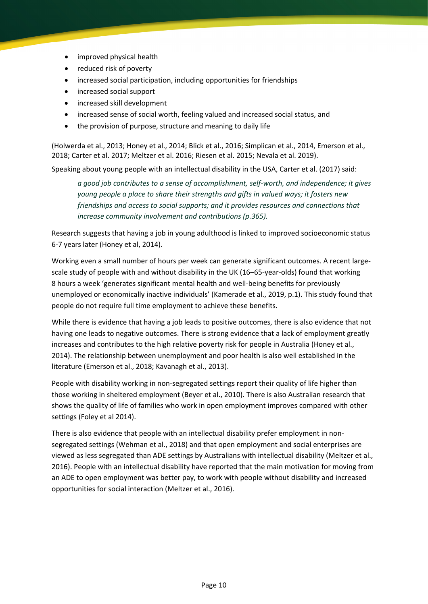- improved physical health
- reduced risk of poverty
- increased social participation, including opportunities for friendships
- increased social support
- increased skill development
- increased sense of social worth, feeling valued and increased social status, and
- the provision of purpose, structure and meaning to daily life

(Holwerda et al., 2013; Honey et al., 2014; Blick et al., 2016; Simplican et al., 2014, Emerson et al., 2018; Carter et al. 2017; Meltzer et al. 2016; Riesen et al. 2015; Nevala et al. 2019).

Speaking about young people with an intellectual disability in the USA, Carter et al. (2017) said:

*a good job contributes to a sense of accomplishment, self-worth, and independence; it gives young people a place to share their strengths and gifts in valued ways; it fosters new friendships and access to social supports; and it provides resources and connections that increase community involvement and contributions (p.365).*

Research suggests that having a job in young adulthood is linked to improved socioeconomic status 6-7 years later (Honey et al, 2014).

Working even a small number of hours per week can generate significant outcomes. A recent largescale study of people with and without disability in the UK (16–65-year-olds) found that working 8 hours a week 'generates significant mental health and well-being benefits for previously unemployed or economically inactive individuals' (Kamerade et al., 2019, p.1). This study found that people do not require full time employment to achieve these benefits.

While there is evidence that having a job leads to positive outcomes, there is also evidence that not having one leads to negative outcomes. There is strong evidence that a lack of employment greatly increases and contributes to the high relative poverty risk for people in Australia (Honey et al., 2014). The relationship between unemployment and poor health is also well established in the literature (Emerson et al., 2018; Kavanagh et al., 2013).

People with disability working in non-segregated settings report their quality of life higher than those working in sheltered employment (Beyer et al., 2010). There is also Australian research that shows the quality of life of families who work in open employment improves compared with other settings (Foley et al 2014).

There is also evidence that people with an intellectual disability prefer employment in nonsegregated settings (Wehman et al., 2018) and that open employment and social enterprises are viewed as less segregated than ADE settings by Australians with intellectual disability (Meltzer et al., 2016). People with an intellectual disability have reported that the main motivation for moving from an ADE to open employment was better pay, to work with people without disability and increased opportunities for social interaction (Meltzer et al., 2016).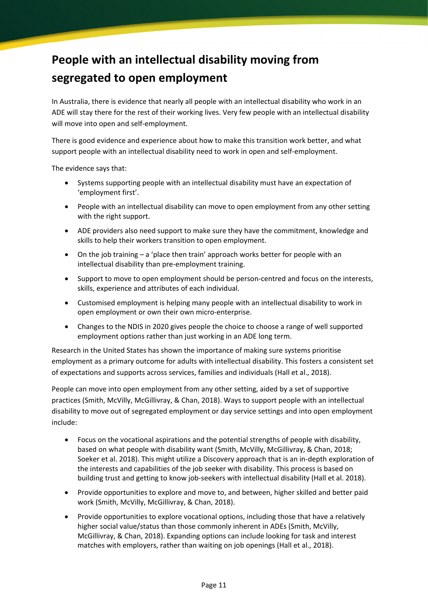# <span id="page-10-0"></span>**People with an intellectual disability moving from segregated to open employment**

In Australia, there is evidence that nearly all people with an intellectual disability who work in an ADE will stay there for the rest of their working lives. Very few people with an intellectual disability will move into open and self-employment.

There is good evidence and experience about how to make this transition work better, and what support people with an intellectual disability need to work in open and self-employment.

The evidence says that:

- Systems supporting people with an intellectual disability must have an expectation of 'employment first'.
- People with an intellectual disability can move to open employment from any other setting with the right support.
- ADE providers also need support to make sure they have the commitment, knowledge and skills to help their workers transition to open employment.
- On the job training a 'place then train' approach works better for people with an intellectual disability than pre-employment training.
- Support to move to open employment should be person-centred and focus on the interests, skills, experience and attributes of each individual.
- Customised employment is helping many people with an intellectual disability to work in open employment or own their own micro-enterprise.
- Changes to the NDIS in 2020 gives people the choice to choose a range of well supported employment options rather than just working in an ADE long term.

Research in the United States has shown the importance of making sure systems prioritise employment as a primary outcome for adults with intellectual disability. This fosters a consistent set of expectations and supports across services, families and individuals (Hall et al., 2018).

People can move into open employment from any other setting, aided by a set of supportive practices (Smith, McVilly, McGillivray, & Chan, 2018). Ways to support people with an intellectual disability to move out of segregated employment or day service settings and into open employment include:

- Focus on the vocational aspirations and the potential strengths of people with disability, based on what people with disability want (Smith, McVilly, McGillivray, & Chan, 2018; Soeker et al. 2018). This might utilize a Discovery approach that is an in-depth exploration of the interests and capabilities of the job seeker with disability. This process is based on building trust and getting to know job-seekers with intellectual disability (Hall et al. 2018).
- Provide opportunities to explore and move to, and between, higher skilled and better paid work (Smith, McVilly, McGillivray, & Chan, 2018).
- Provide opportunities to explore vocational options, including those that have a relatively higher social value/status than those commonly inherent in ADEs (Smith, McVilly, McGillivray, & Chan, 2018). Expanding options can include looking for task and interest matches with employers, rather than waiting on job openings (Hall et al., 2018).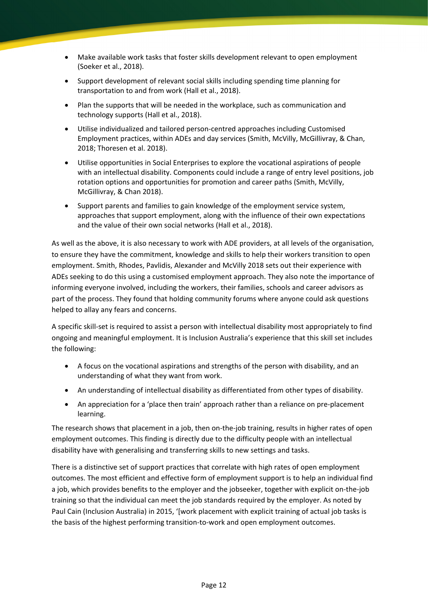- Make available work tasks that foster skills development relevant to open employment (Soeker et al., 2018).
- Support development of relevant social skills including spending time planning for transportation to and from work (Hall et al., 2018).
- Plan the supports that will be needed in the workplace, such as communication and technology supports (Hall et al., 2018).
- Utilise individualized and tailored person-centred approaches including Customised Employment practices, within ADEs and day services (Smith, McVilly, McGillivray, & Chan, 2018; Thoresen et al. 2018).
- Utilise opportunities in Social Enterprises to explore the vocational aspirations of people with an intellectual disability. Components could include a range of entry level positions, job rotation options and opportunities for promotion and career paths (Smith, McVilly, McGillivray, & Chan 2018).
- Support parents and families to gain knowledge of the employment service system, approaches that support employment, along with the influence of their own expectations and the value of their own social networks (Hall et al., 2018).

As well as the above, it is also necessary to work with ADE providers, at all levels of the organisation, to ensure they have the commitment, knowledge and skills to help their workers transition to open employment. Smith, Rhodes, Pavlidis, Alexander and McVilly 2018 sets out their experience with ADEs seeking to do this using a customised employment approach. They also note the importance of informing everyone involved, including the workers, their families, schools and career advisors as part of the process. They found that holding community forums where anyone could ask questions helped to allay any fears and concerns.

A specific skill-set is required to assist a person with intellectual disability most appropriately to find ongoing and meaningful employment. It is Inclusion Australia's experience that this skill set includes the following:

- A focus on the vocational aspirations and strengths of the person with disability, and an understanding of what they want from work.
- An understanding of intellectual disability as differentiated from other types of disability.
- An appreciation for a 'place then train' approach rather than a reliance on pre-placement learning.

The research shows that placement in a job, then on-the-job training, results in higher rates of open employment outcomes. This finding is directly due to the difficulty people with an intellectual disability have with generalising and transferring skills to new settings and tasks.

There is a distinctive set of support practices that correlate with high rates of open employment outcomes. The most efficient and effective form of employment support is to help an individual find a job, which provides benefits to the employer and the jobseeker, together with explicit on-the-job training so that the individual can meet the job standards required by the employer. As noted by Paul Cain (Inclusion Australia) in 2015, '[work placement with explicit training of actual job tasks is the basis of the highest performing transition-to-work and open employment outcomes.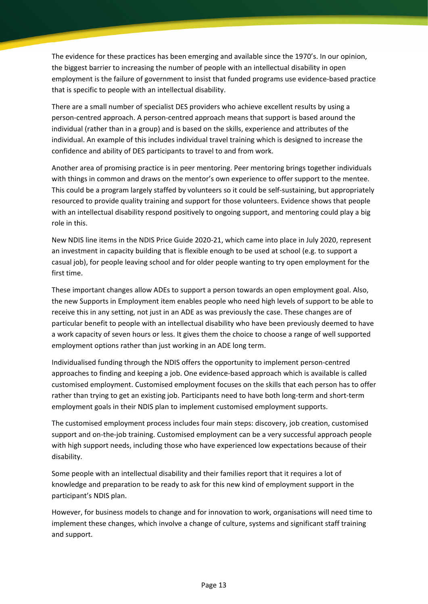The evidence for these practices has been emerging and available since the 1970's. In our opinion, the biggest barrier to increasing the number of people with an intellectual disability in open employment is the failure of government to insist that funded programs use evidence-based practice that is specific to people with an intellectual disability.

There are a small number of specialist DES providers who achieve excellent results by using a person-centred approach. A person-centred approach means that support is based around the individual (rather than in a group) and is based on the skills, experience and attributes of the individual. An example of this includes individual travel training which is designed to increase the confidence and ability of DES participants to travel to and from work.

Another area of promising practice is in peer mentoring. Peer mentoring brings together individuals with things in common and draws on the mentor's own experience to offer support to the mentee. This could be a program largely staffed by volunteers so it could be self-sustaining, but appropriately resourced to provide quality training and support for those volunteers. Evidence shows that people with an intellectual disability respond positively to ongoing support, and mentoring could play a big role in this.

New NDIS line items in the NDIS Price Guide 2020-21, which came into place in July 2020, represent an investment in capacity building that is flexible enough to be used at school (e.g. to support a casual job), for people leaving school and for older people wanting to try open employment for the first time.

These important changes allow ADEs to support a person towards an open employment goal. Also, the new Supports in Employment item enables people who need high levels of support to be able to receive this in any setting, not just in an ADE as was previously the case. These changes are of particular benefit to people with an intellectual disability who have been previously deemed to have a work capacity of seven hours or less. It gives them the choice to choose a range of well supported employment options rather than just working in an ADE long term.

Individualised funding through the NDIS offers the opportunity to implement person-centred approaches to finding and keeping a job. One evidence-based approach which is available is called customised employment. Customised employment focuses on the skills that each person has to offer rather than trying to get an existing job. Participants need to have both long-term and short-term employment goals in their NDIS plan to implement customised employment supports.

The customised employment process includes four main steps: discovery, job creation, customised support and on-the-job training. Customised employment can be a very successful approach people with high support needs, including those who have experienced low expectations because of their disability.

Some people with an intellectual disability and their families report that it requires a lot of knowledge and preparation to be ready to ask for this new kind of employment support in the participant's NDIS plan.

However, for business models to change and for innovation to work, organisations will need time to implement these changes, which involve a change of culture, systems and significant staff training and support.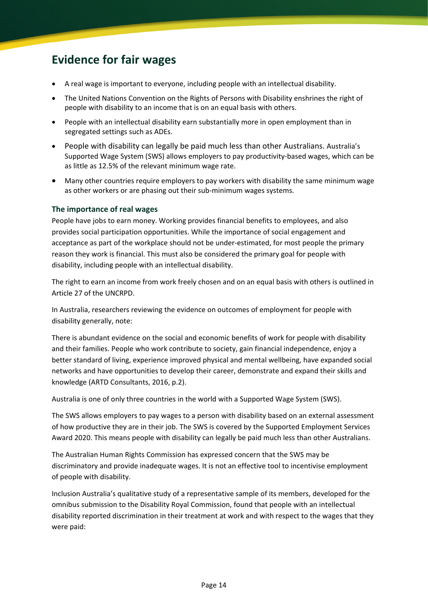## <span id="page-13-0"></span>**Evidence for fair wages**

- A real wage is important to everyone, including people with an intellectual disability.
- The United Nations Convention on the Rights of Persons with Disability enshrines the right of people with disability to an income that is on an equal basis with others.
- People with an intellectual disability earn substantially more in open employment than in segregated settings such as ADEs.
- People with disability can legally be paid much less than other Australians. Australia's Supported Wage System (SWS) allows employers to pay productivity-based wages, which can be as little as 12.5% of the relevant minimum wage rate.
- Many other countries require employers to pay workers with disability the same minimum wage as other workers or are phasing out their sub-minimum wages systems.

#### **The importance of real wages**

People have jobs to earn money. Working provides financial benefits to employees, and also provides social participation opportunities. While the importance of social engagement and acceptance as part of the workplace should not be under-estimated, for most people the primary reason they work is financial. This must also be considered the primary goal for people with disability, including people with an intellectual disability.

The right to earn an income from work freely chosen and on an equal basis with others is outlined in Article 27 of the UNCRPD.

In Australia, researchers reviewing the evidence on outcomes of employment for people with disability generally, note:

There is abundant evidence on the social and economic benefits of work for people with disability and their families. People who work contribute to society, gain financial independence, enjoy a better standard of living, experience improved physical and mental wellbeing, have expanded social networks and have opportunities to develop their career, demonstrate and expand their skills and knowledge (ARTD Consultants, 2016, p.2).

Australia is one of only three countries in the world with a Supported Wage System (SWS).

The SWS allows employers to pay wages to a person with disability based on an external assessment of how productive they are in their job. The SWS is covered by the Supported Employment Services Award 2020. This means people with disability can legally be paid much less than other Australians.

The Australian Human Rights Commission has expressed concern that the SWS may be discriminatory and provide inadequate wages. It is not an effective tool to incentivise employment of people with disability.

Inclusion Australia's qualitative study of a representative sample of its members, developed for the omnibus submission to the Disability Royal Commission, found that people with an intellectual disability reported discrimination in their treatment at work and with respect to the wages that they were paid: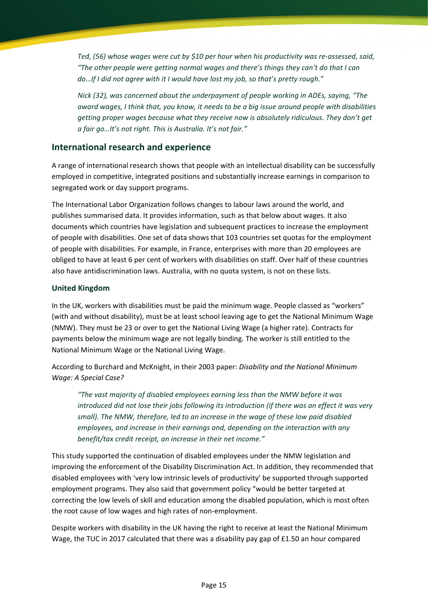*Ted, (56) whose wages were cut by \$10 per hour when his productivity was re-assessed, said, "The other people were getting normal wages and there's things they can't do that I can do…If I did not agree with it I would have lost my job, so that's pretty rough."*

*Nick (32), was concerned about the underpayment of people working in ADEs, saying, "The award wages, I think that, you know, it needs to be a big issue around people with disabilities getting proper wages because what they receive now is absolutely ridiculous. They don't get a fair go…It's not right. This is Australia. It's not fair."* 

#### **International research and experience**

A range of international research shows that people with an intellectual disability can be successfully employed in competitive, integrated positions and substantially increase earnings in comparison to segregated work or day support programs.

The International Labor Organization follows changes to labour laws around the world, and publishes summarised data. It provides information, such as that below about wages. It also documents which countries have legislation and subsequent practices to increase the employment of people with disabilities. One set of data shows that 103 countries set quotas for the employment of people with disabilities. For example, in France, enterprises with more than 20 employees are obliged to have at least 6 per cent of workers with disabilities on staff. Over half of these countries also have antidiscrimination laws. Australia, with no quota system, is not on these lists.

#### **United Kingdom**

In the UK, workers with disabilities must be paid the minimum wage. People classed as "workers" (with and without disability), must be at least school leaving age to get the National Minimum Wage (NMW). They must be 23 or over to get the National Living Wage (a higher rate). Contracts for payments below the minimum wage are not legally binding. The worker is still entitled to the National Minimum Wage or the National Living Wage.

According to Burchard and McKnight, in their 2003 paper: *Disability and the National Minimum Wage: A Special Case?*

*"The vast majority of disabled employees earning less than the NMW before it was introduced did not lose their jobs following its introduction (if there was an effect it was very small). The NMW, therefore, led to an increase in the wage of these low paid disabled employees, and increase in their earnings and, depending on the interaction with any benefit/tax credit receipt, an increase in their net income."*

This study supported the continuation of disabled employees under the NMW legislation and improving the enforcement of the Disability Discrimination Act. In addition, they recommended that disabled employees with 'very low intrinsic levels of productivity' be supported through supported employment programs. They also said that government policy "would be better targeted at correcting the low levels of skill and education among the disabled population, which is most often the root cause of low wages and high rates of non-employment.

Despite workers with disability in the UK having the right to receive at least the National Minimum Wage, the TUC in 2017 calculated that there was a disability pay gap of £1.50 an hour compared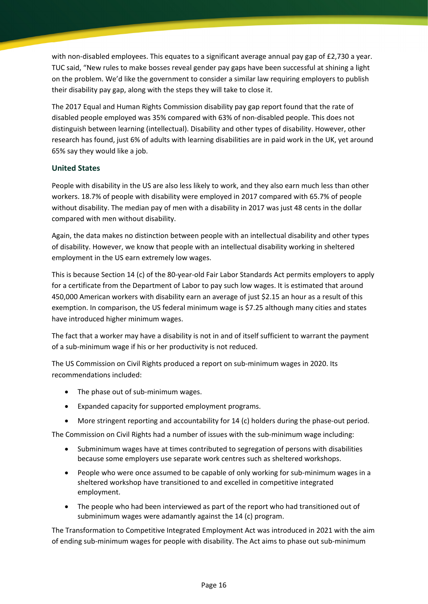with non-disabled employees. This equates to a significant average annual pay gap of £2,730 a year. TUC said, "New rules to make bosses reveal gender pay gaps have been successful at shining a light on the problem. We'd like the government to consider a similar law requiring employers to publish their disability pay gap, along with the steps they will take to close it.

The 2017 Equal and Human Rights Commission disability pay gap report found that the rate of disabled people employed was 35% compared with 63% of non-disabled people. This does not distinguish between learning (intellectual). Disability and other types of disability. However, other research has found, just 6% of adults with learning disabilities are in paid work in the UK, yet around 65% say they would like a job.

#### **United States**

People with disability in the US are also less likely to work, and they also earn much less than other workers. 18.7% of people with disability were employed in 2017 compared with 65.7% of people without disability. The median pay of men with a disability in 2017 was just 48 cents in the dollar compared with men without disability.

Again, the data makes no distinction between people with an intellectual disability and other types of disability. However, we know that people with an intellectual disability working in sheltered employment in the US earn extremely low wages.

This is because Section 14 (c) of the 80-year-old Fair Labor Standards Act permits employers to apply for a certificate from the Department of Labor to pay such low wages. It is estimated that around 450,000 American workers with disability earn an average of just \$2.15 an hour as a result of this exemption. In comparison, the US federal minimum wage is \$7.25 although many cities and states have introduced higher minimum wages.

The fact that a worker may have a disability is not in and of itself sufficient to warrant the payment of a sub-minimum wage if his or her productivity is not reduced.

The US Commission on Civil Rights produced a report on sub-minimum wages in 2020. Its recommendations included:

- The phase out of sub-minimum wages.
- Expanded capacity for supported employment programs.
- More stringent reporting and accountability for 14 (c) holders during the phase-out period.

The Commission on Civil Rights had a number of issues with the sub-minimum wage including:

- Subminimum wages have at times contributed to segregation of persons with disabilities because some employers use separate work centres such as sheltered workshops.
- People who were once assumed to be capable of only working for sub-minimum wages in a sheltered workshop have transitioned to and excelled in competitive integrated employment.
- The people who had been interviewed as part of the report who had transitioned out of subminimum wages were adamantly against the 14 (c) program.

The Transformation to Competitive Integrated Employment Act was introduced in 2021 with the aim of ending sub-minimum wages for people with disability. The Act aims to phase out sub-minimum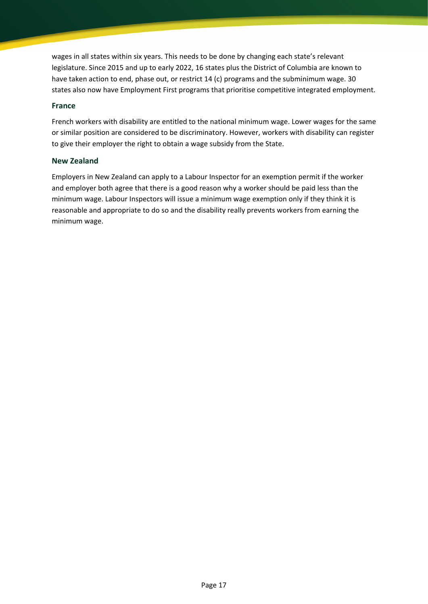wages in all states within six years. This needs to be done by changing each state's relevant legislature. Since 2015 and up to early 2022, 16 states plus the District of Columbia are known to have taken action to end, phase out, or restrict 14 (c) programs and the subminimum wage. 30 states also now have Employment First programs that prioritise competitive integrated employment.

#### **France**

French workers with disability are entitled to the national minimum wage. Lower wages for the same or similar position are considered to be discriminatory. However, workers with disability can register to give their employer the right to obtain a wage subsidy from the State.

#### **New Zealand**

Employers in New Zealand can apply to a Labour Inspector for an exemption permit if the worker and employer both agree that there is a good reason why a worker should be paid less than the minimum wage. Labour Inspectors will issue a minimum wage exemption only if they think it is reasonable and appropriate to do so and the disability really prevents workers from earning the minimum wage.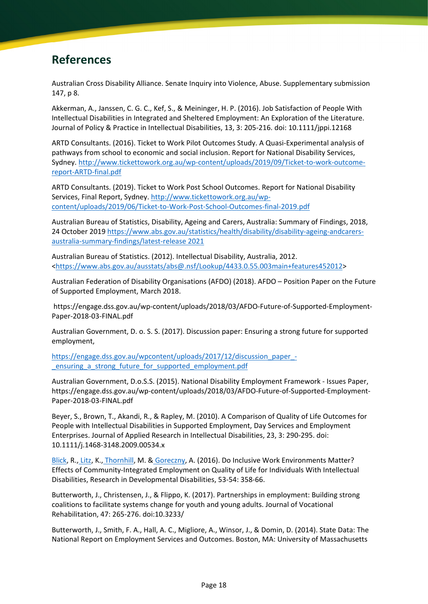## <span id="page-17-0"></span>**References**

Australian Cross Disability Alliance. Senate Inquiry into Violence, Abuse. Supplementary submission 147, p 8.

Akkerman, A., Janssen, C. G. C., Kef, S., & Meininger, H. P. (2016). Job Satisfaction of People With Intellectual Disabilities in Integrated and Sheltered Employment: An Exploration of the Literature. Journal of Policy & Practice in Intellectual Disabilities, 13, 3: 205-216. doi: 10.1111/jppi.12168

ARTD Consultants. (2016). Ticket to Work Pilot Outcomes Study. A Quasi-Experimental analysis of pathways from school to economic and social inclusion. Report for National Disability Services, Sydney. [http://www.tickettowork.org.au/wp-content/uploads/2019/09/Ticket-to-work-outcome](http://www.tickettowork.org.au/wp-content/uploads/2019/09/Ticket-to-work-outcome-report-ARTD-final.pdf)[report-ARTD-final.pdf](http://www.tickettowork.org.au/wp-content/uploads/2019/09/Ticket-to-work-outcome-report-ARTD-final.pdf)

ARTD Consultants. (2019). Ticket to Work Post School Outcomes. Report for National Disability Services, Final Report, Sydney. [http://www.tickettowork.org.au/wp](http://www.tickettowork.org.au/wp-content/uploads/2019/06/Ticket-to-Work-Post-School-Outcomes-final-2019.pdf)[content/uploads/2019/06/Ticket-to-Work-Post-School-Outcomes-final-2019.pdf](http://www.tickettowork.org.au/wp-content/uploads/2019/06/Ticket-to-Work-Post-School-Outcomes-final-2019.pdf)

Australian Bureau of Statistics, Disability, Ageing and Carers, Australia: Summary of Findings, 2018, 24 October 2019 [https://www.abs.gov.au/statistics/health/disability/disability-ageing-andcarers](https://www.abs.gov.au/statistics/health/disability/disability-ageing-andcarers-australia-summary-findings/latest-release%202021)[australia-summary-findings/latest-release 2021](https://www.abs.gov.au/statistics/health/disability/disability-ageing-andcarers-australia-summary-findings/latest-release%202021)

Australian Bureau of Statistics. (2012). Intellectual Disability, Australia, 2012. [<https://www.abs.gov.au/ausstats/abs@.nsf/Lookup/4433.0.55.003main+features452012>](https://www.abs.gov.au/ausstats/abs%40.nsf/Lookup/4433.0.55.003main%2Bfeatures452012)

Australian Federation of Disability Organisations (AFDO) (2018). AFDO – Position Paper on the Future of Supported Employment, March 2018.

https://engage.dss.gov.au/wp-content/uploads/2018/03/AFDO-Future-of-Supported-Employment-Paper-2018-03-FINAL.pdf

Australian Government, D. o. S. S. (2017). Discussion paper: Ensuring a strong future for supported employment,

[https://engage.dss.gov.au/wpcontent/uploads/2017/12/discussion\\_paper\\_-](https://engage.dss.gov.au/wpcontent/uploads/2017/12/discussion_paper_-_ensuring_a_strong_future_for_supported_employment.pdf) [\\_ensuring\\_a\\_strong\\_future\\_for\\_supported\\_employment.pdf](https://engage.dss.gov.au/wpcontent/uploads/2017/12/discussion_paper_-_ensuring_a_strong_future_for_supported_employment.pdf)

Australian Government, D.o.S.S. (2015). National Disability Employment Framework - Issues Paper, https://engage.dss.gov.au/wp-content/uploads/2018/03/AFDO-Future-of-Supported-Employment-Paper-2018-03-FINAL.pdf

Beyer, S., Brown, T., Akandi, R., & Rapley, M. (2010). A Comparison of Quality of Life Outcomes for People with Intellectual Disabilities in Supported Employment, Day Services and Employment Enterprises. Journal of Applied Research in Intellectual Disabilities, 23, 3: 290-295. doi: 10.1111/j.1468-3148.2009.00534.x

[Blick,](https://pubmed.ncbi.nlm.nih.gov/?term=Blick+RN&cauthor_id=26977937) R., [Litz,](https://pubmed.ncbi.nlm.nih.gov/?term=Litz+KS&cauthor_id=26977937) K., [Thornhill,](https://pubmed.ncbi.nlm.nih.gov/?term=Thornhill+MG&cauthor_id=26977937) M. & [Goreczny,](https://pubmed.ncbi.nlm.nih.gov/?term=Goreczny+AJ&cauthor_id=26977937) A. (2016). Do Inclusive Work Environments Matter? Effects of Community-Integrated Employment on Quality of Life for Individuals With Intellectual Disabilities, Research in Developmental Disabilities, 53-54: 358-66.

Butterworth, J., Christensen, J., & Flippo, K. (2017). Partnerships in employment: Building strong coalitions to facilitate systems change for youth and young adults. Journal of Vocational Rehabilitation, 47: 265-276. doi:10.3233/

Butterworth, J., Smith, F. A., Hall, A. C., Migliore, A., Winsor, J., & Domin, D. (2014). State Data: The National Report on Employment Services and Outcomes. Boston, MA: University of Massachusetts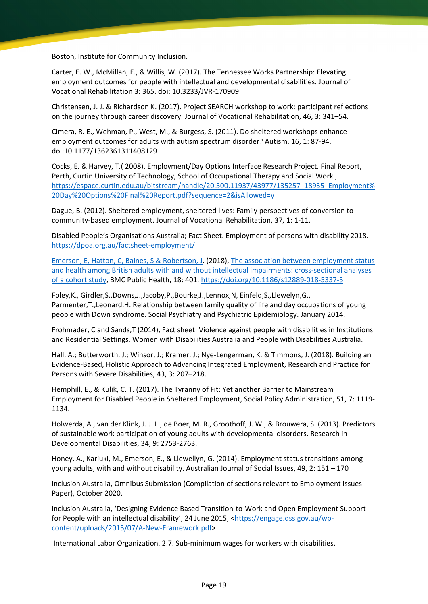Boston, Institute for Community Inclusion.

Carter, E. W., McMillan, E., & Willis, W. (2017). The Tennessee Works Partnership: Elevating employment outcomes for people with intellectual and developmental disabilities. Journal of Vocational Rehabilitation 3: 365. doi: 10.3233/JVR-170909

Christensen, J. J. & Richardson K. (2017). Project SEARCH workshop to work: participant reflections on the journey through career discovery. Journal of Vocational Rehabilitation, 46, 3: 341–54.

Cimera, R. E., Wehman, P., West, M., & Burgess, S. (2011). Do sheltered workshops enhance employment outcomes for adults with autism spectrum disorder? Autism, 16, 1: 87-94. doi:10.1177/1362361311408129

Cocks, E. & Harvey, T.( 2008). Employment/Day Options Interface Research Project. Final Report, Perth, Curtin University of Technology, School of Occupational Therapy and Social Work., [https://espace.curtin.edu.au/bitstream/handle/20.500.11937/43977/135257\\_18935\\_Employment%](https://espace.curtin.edu.au/bitstream/handle/20.500.11937/43977/135257_18935_Employment%20Day%20Options%20Final%20Report.pdf?sequence=2&isAllowed=y) [20Day%20Options%20Final%20Report.pdf?sequence=2&isAllowed=y](https://espace.curtin.edu.au/bitstream/handle/20.500.11937/43977/135257_18935_Employment%20Day%20Options%20Final%20Report.pdf?sequence=2&isAllowed=y)

Dague, B. (2012). Sheltered employment, sheltered lives: Family perspectives of conversion to community-based employment. Journal of Vocational Rehabilitation, 37, 1: 1-11.

Disabled People's Organisations Australia; Fact Sheet. Employment of persons with disability 2018. <https://dpoa.org.au/factsheet-employment/>

[Emerson, E](http://www.research.lancs.ac.uk/portal/en/people/eric-emerson(b0f5df7a-0302-414f-aa3a-4e82ce7473e3).html)[, Hatton, C](http://www.research.lancs.ac.uk/portal/en/people/chris-hatton(1941b43f-8ec6-4360-9877-23d51babc4f4).html)[, Baines, S](http://www.research.lancs.ac.uk/portal/en/people/susannah-baines(126456d1-0adb-4124-af7e-6ea8a72af0c4).html) [& Robertson, J.](http://www.research.lancs.ac.uk/portal/en/people/janet-robertson(c3e5ae78-fc92-477c-8c3f-d7373b110c61).html) (2018), [The association between employment status](http://www.research.lancs.ac.uk/portal/en/publications/the-association-between-employment-status-and-health-among-british-adults-with-and-without-intellectual-impairments(df6e7da4-0627-4e98-97a6-a971e8ef6c40).html)  [and health among British adults with and without intellectual impairments: cross-sectional analyses](http://www.research.lancs.ac.uk/portal/en/publications/the-association-between-employment-status-and-health-among-british-adults-with-and-without-intellectual-impairments(df6e7da4-0627-4e98-97a6-a971e8ef6c40).html)  [of a cohort study,](http://www.research.lancs.ac.uk/portal/en/publications/the-association-between-employment-status-and-health-among-british-adults-with-and-without-intellectual-impairments(df6e7da4-0627-4e98-97a6-a971e8ef6c40).html) BMC Public Health, 18: 401[. https://doi.org/10.1186/s12889-018-5337-5](https://doi.org/10.1186/s12889-018-5337-5)

Foley,K., Girdler,S.,Downs,J.,Jacoby,P.,Bourke,J.,Lennox,N, Einfeld,S.,Llewelyn,G., Parmenter,T.,Leonard,H. Relationship between family quality of life and day occupations of young people with Down syndrome. Social Psychiatry and Psychiatric Epidemiology. January 2014.

Frohmader, C and Sands,T (2014), Fact sheet: Violence against people with disabilities in Institutions and Residential Settings, Women with Disabilities Australia and People with Disabilities Australia.

Hall, A.; Butterworth, J.; Winsor, J.; Kramer, J.; Nye-Lengerman, K. & Timmons, J. (2018). Building an Evidence-Based, Holistic Approach to Advancing Integrated Employment, Research and Practice for Persons with Severe Disabilities, 43, 3: 207–218.

Hemphill, E., & Kulik, C. T. (2017). The Tyranny of Fit: Yet another Barrier to Mainstream Employment for Disabled People in Sheltered Employment, Social Policy Administration, 51, 7: 1119- 1134.

Holwerda, A., van der Klink, J. J. L., de Boer, M. R., Groothoff, J. W., & Brouwera, S. (2013). Predictors of sustainable work participation of young adults with developmental disorders. Research in Developmental Disabilities, 34, 9: 2753-2763.

Honey, A., Kariuki, M., Emerson, E., & Llewellyn, G. (2014). Employment status transitions among young adults, with and without disability. Australian Journal of Social Issues, 49, 2: 151 – 170

Inclusion Australia, Omnibus Submission (Compilation of sections relevant to Employment Issues Paper), October 2020,

Inclusion Australia, 'Designing Evidence Based Transition-to-Work and Open Employment Support for People with an intellectual disability', 24 June 2015, [<https://engage.dss.gov.au/wp](https://engage.dss.gov.au/wp-content/uploads/2015/07/A-New-Framework.pdf)[content/uploads/2015/07/A-New-Framework.pdf>](https://engage.dss.gov.au/wp-content/uploads/2015/07/A-New-Framework.pdf)

International Labor Organization. 2.7. Sub-minimum wages for workers with disabilities.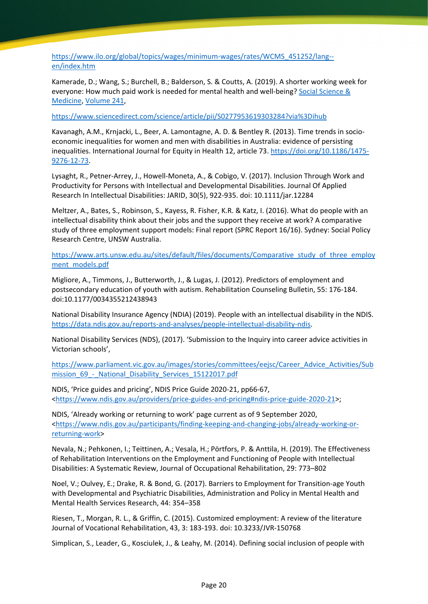[https://www.ilo.org/global/topics/wages/minimum-wages/rates/WCMS\\_451252/lang-](https://www.ilo.org/global/topics/wages/minimum-wages/rates/WCMS_451252/lang--en/index.htm) [en/index.htm](https://www.ilo.org/global/topics/wages/minimum-wages/rates/WCMS_451252/lang--en/index.htm)

Kamerade, D.; Wang, S.; Burchell, B.; Balderson, S. & Coutts, A. (2019). A shorter working week for everyone: How much paid work is needed for mental health and well-being? [Social Science &](https://www.sciencedirect.com/science/journal/02779536)  [Medicine,](https://www.sciencedirect.com/science/journal/02779536) Volume 241,

<https://www.sciencedirect.com/science/article/pii/S0277953619303284?via%3Dihub>

Kavanagh, A.M., Krnjacki, L., Beer, A. Lamontagne, A. D. & Bentley R. (2013). Time trends in socioeconomic inequalities for women and men with disabilities in Australia: evidence of persisting inequalities. International Journal for Equity in Health 12, article 73[. https://doi.org/10.1186/1475-](https://doi.org/10.1186/1475-9276-12-73) [9276-12-73.](https://doi.org/10.1186/1475-9276-12-73)

Lysaght, R., Petner-Arrey, J., Howell-Moneta, A., & Cobigo, V. (2017). Inclusion Through Work and Productivity for Persons with Intellectual and Developmental Disabilities. Journal Of Applied Research In Intellectual Disabilities: JARID, 30(5), 922-935. doi: 10.1111/jar.12284

Meltzer, A., Bates, S., Robinson, S., Kayess, R. Fisher, K.R. & Katz, I. (2016). What do people with an intellectual disability think about their jobs and the support they receive at work? A comparative study of three employment support models: Final report (SPRC Report 16/16). Sydney: Social Policy Research Centre, UNSW Australia.

[https://www.arts.unsw.edu.au/sites/default/files/documents/Comparative\\_study\\_of\\_three\\_employ](https://www.arts.unsw.edu.au/sites/default/files/documents/Comparative_study_of_three_employment_models.pdf) [ment\\_models.pdf](https://www.arts.unsw.edu.au/sites/default/files/documents/Comparative_study_of_three_employment_models.pdf)

Migliore, A., Timmons, J., Butterworth, J., & Lugas, J. (2012). Predictors of employment and postsecondary education of youth with autism. Rehabilitation Counseling Bulletin, 55: 176-184. doi:10.1177/0034355212438943

National Disability Insurance Agency (NDIA) (2019). People with an intellectual disability in the NDIS. [https://data.ndis.gov.au/reports-and-analyses/people-intellectual-disability-ndis.](https://data.ndis.gov.au/reports-and-analyses/people-intellectual-disability-ndis)

National Disability Services (NDS), (2017). 'Submission to the Inquiry into career advice activities in Victorian schools',

[https://www.parliament.vic.gov.au/images/stories/committees/eejsc/Career\\_Advice\\_Activities/Sub](https://www.parliament.vic.gov.au/images/stories/committees/eejsc/Career_Advice_Activities/Submission_69_-_National_Disability_Services_15122017.pdf) mission 69 - National Disability Services 15122017.pdf

NDIS, 'Price guides and pricing', NDIS Price Guide 2020-21, pp66-67, [<https://www.ndis.gov.au/providers/price-guides-and-pricing#ndis-price-guide-2020-21>](https://www.ndis.gov.au/providers/price-guides-and-pricing#ndis-price-guide-2020-21);

NDIS, 'Already working or returning to work' page current as of 9 September 2020, [<https://www.ndis.gov.au/participants/finding-keeping-and-changing-jobs/already-working-or](https://www.ndis.gov.au/participants/finding-keeping-and-changing-jobs/already-working-or-returning-work)[returning-work>](https://www.ndis.gov.au/participants/finding-keeping-and-changing-jobs/already-working-or-returning-work)

Nevala, N.; Pehkonen, I.; Teittinen, A.; Vesala, H.; Pörtfors, P. & Anttila, H. (2019). The Effectiveness of Rehabilitation Interventions on the Employment and Functioning of People with Intellectual Disabilities: A Systematic Review, Journal of Occupational Rehabilitation, 29: 773–802

Noel, V.; Oulvey, E.; Drake, R. & Bond, G. (2017). Barriers to Employment for Transition-age Youth with Developmental and Psychiatric Disabilities, Administration and Policy in Mental Health and Mental Health Services Research, 44: 354–358

Riesen, T., Morgan, R. L., & Griffin, C. (2015). Customized employment: A review of the literature Journal of Vocational Rehabilitation, 43, 3: 183-193. doi: 10.3233/JVR-150768

Simplican, S., Leader, G., Kosciulek, J., & Leahy, M. (2014). Defining social inclusion of people with